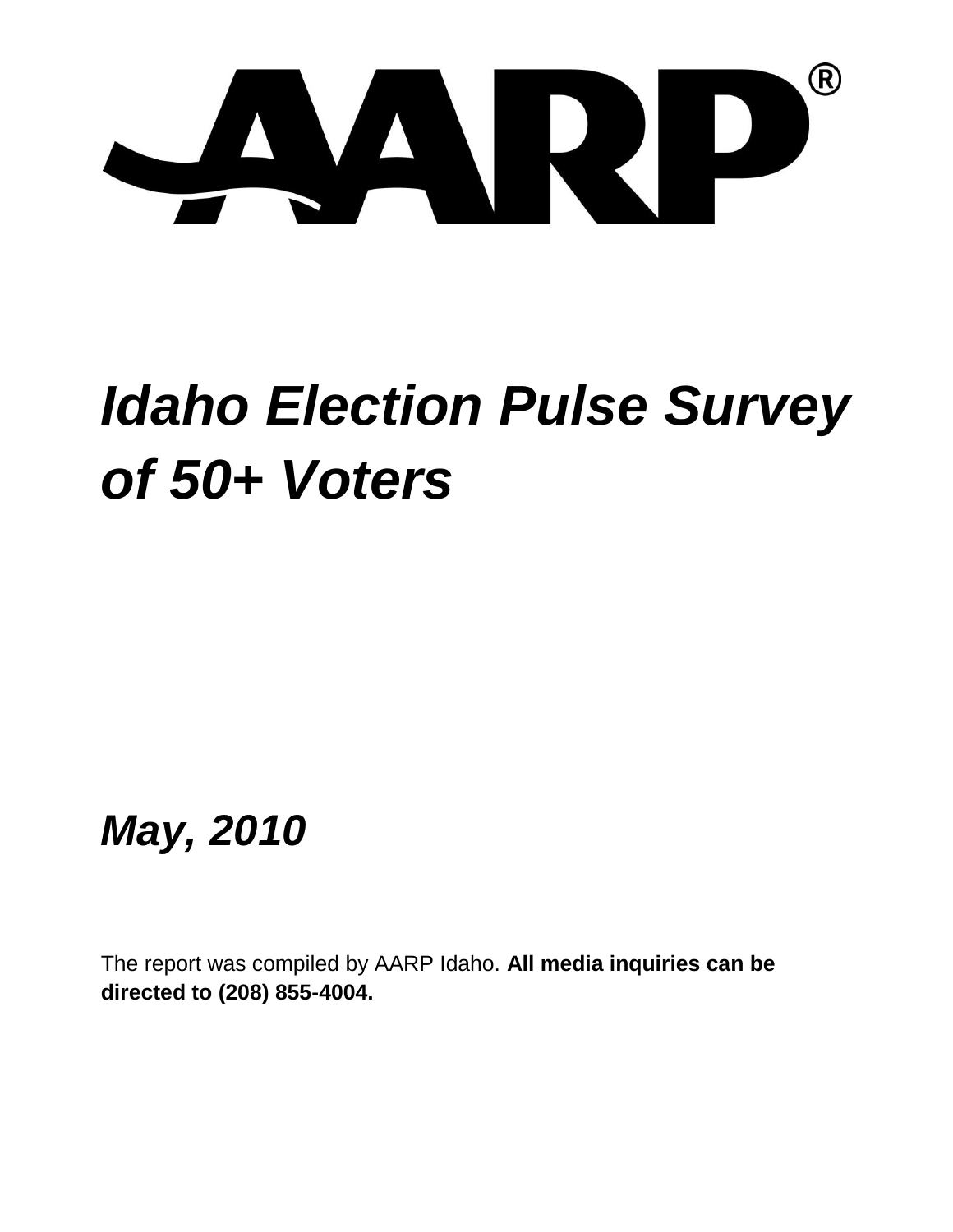

# *Idaho Election Pulse Survey of 50+ Voters*

*May, 2010*

The report was compiled by AARP Idaho. **All media inquiries can be directed to (208) 855-4004.**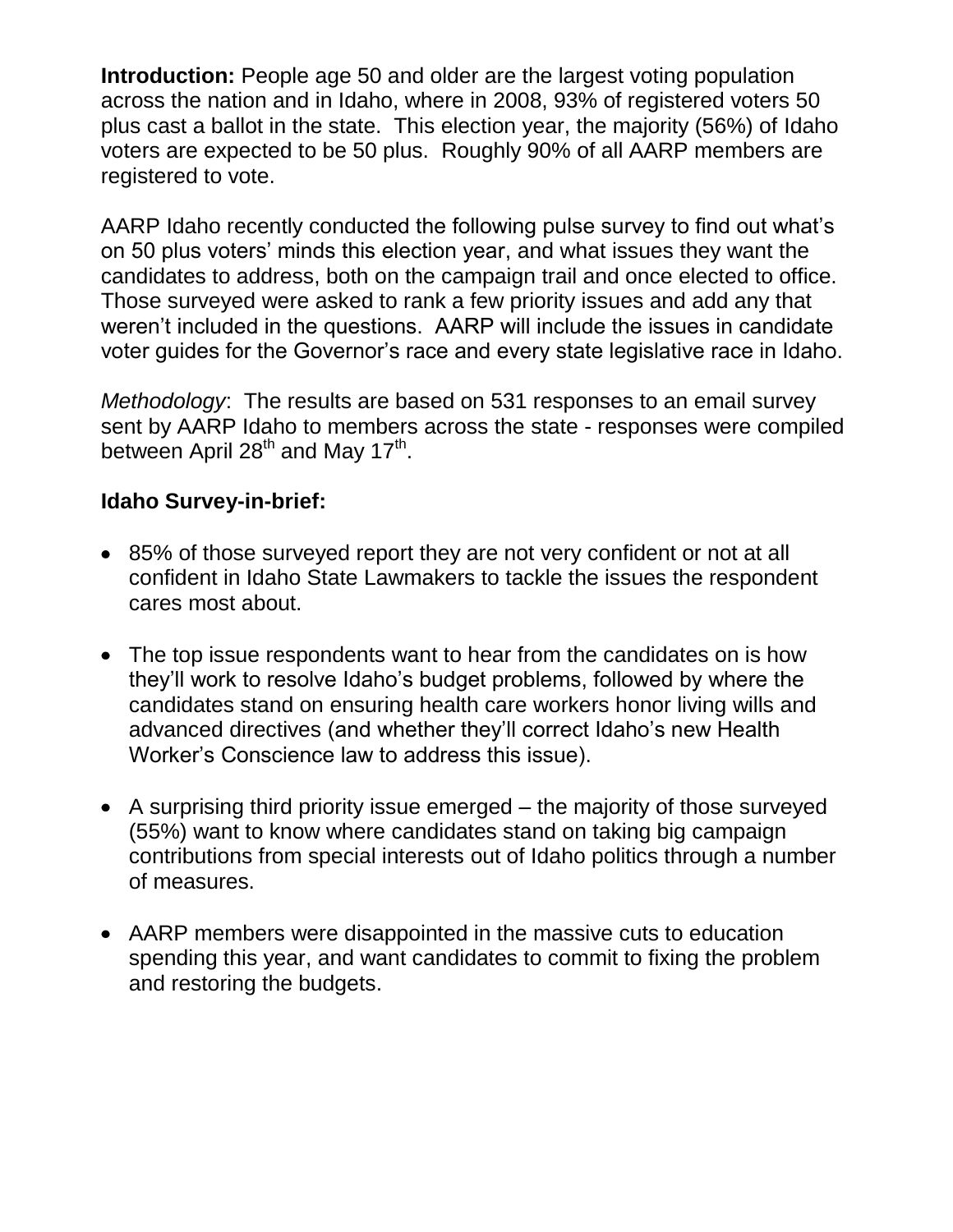**Introduction:** People age 50 and older are the largest voting population across the nation and in Idaho, where in 2008, 93% of registered voters 50 plus cast a ballot in the state. This election year, the majority (56%) of Idaho voters are expected to be 50 plus. Roughly 90% of all AARP members are registered to vote.

AARP Idaho recently conducted the following pulse survey to find out what's on 50 plus voters' minds this election year, and what issues they want the candidates to address, both on the campaign trail and once elected to office. Those surveyed were asked to rank a few priority issues and add any that weren't included in the questions. AARP will include the issues in candidate voter guides for the Governor's race and every state legislative race in Idaho.

*Methodology*: The results are based on 531 responses to an email survey sent by AARP Idaho to members across the state - responses were compiled between April 28<sup>th</sup> and May 17<sup>th</sup>.

### **Idaho Survey-in-brief:**

- 85% of those surveyed report they are not very confident or not at all confident in Idaho State Lawmakers to tackle the issues the respondent cares most about.
- The top issue respondents want to hear from the candidates on is how they'll work to resolve Idaho's budget problems, followed by where the candidates stand on ensuring health care workers honor living wills and advanced directives (and whether they'll correct Idaho's new Health Worker's Conscience law to address this issue).
- A surprising third priority issue emerged the majority of those surveyed (55%) want to know where candidates stand on taking big campaign contributions from special interests out of Idaho politics through a number of measures.
- AARP members were disappointed in the massive cuts to education spending this year, and want candidates to commit to fixing the problem and restoring the budgets.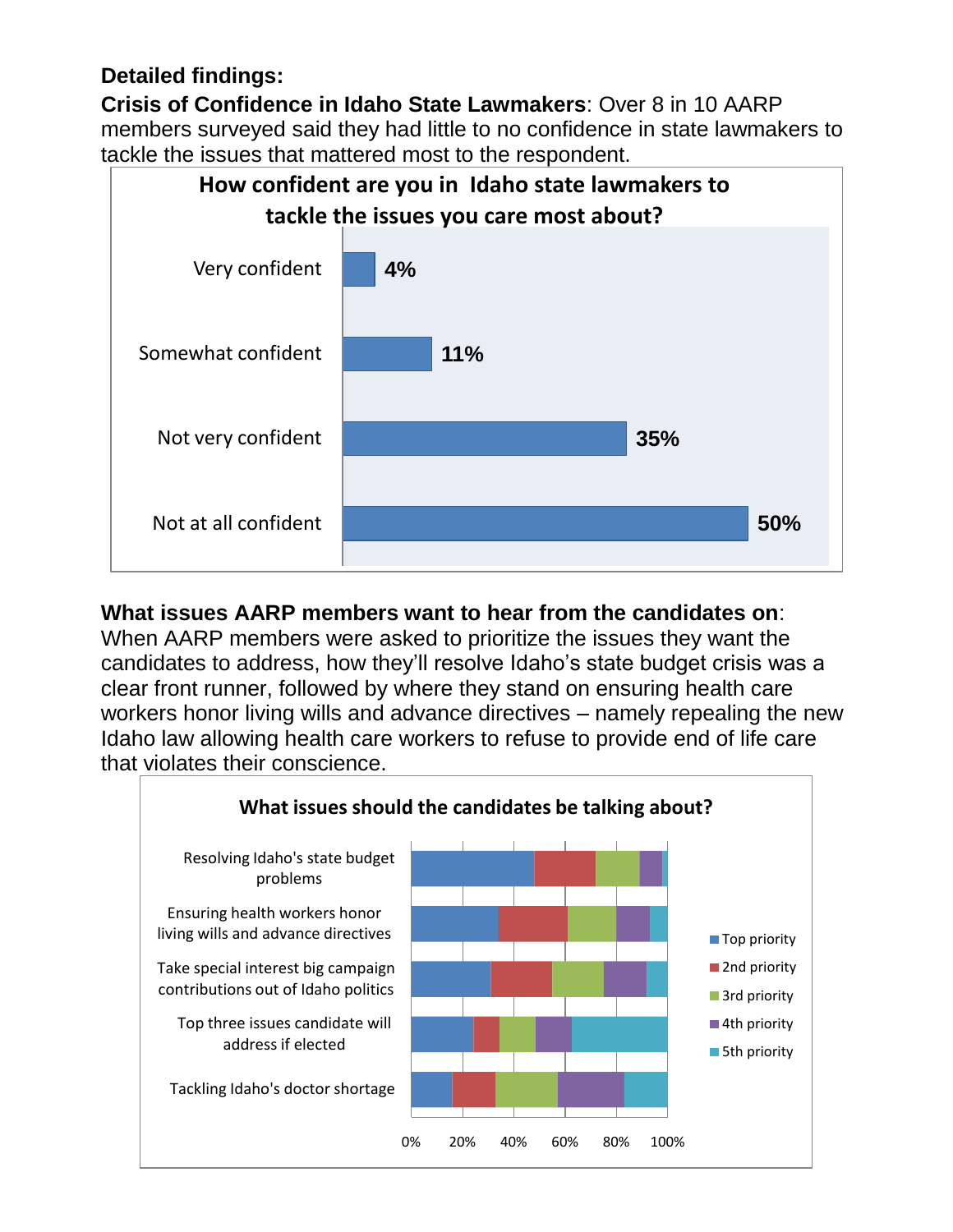## **Detailed findings:**

**Crisis of Confidence in Idaho State Lawmakers**: Over 8 in 10 AARP members surveyed said they had little to no confidence in state lawmakers to tackle the issues that mattered most to the respondent.



## **What issues AARP members want to hear from the candidates on**:

When AARP members were asked to prioritize the issues they want the candidates to address, how they'll resolve Idaho's state budget crisis was a clear front runner, followed by where they stand on ensuring health care workers honor living wills and advance directives – namely repealing the new Idaho law allowing health care workers to refuse to provide end of life care that violates their conscience.

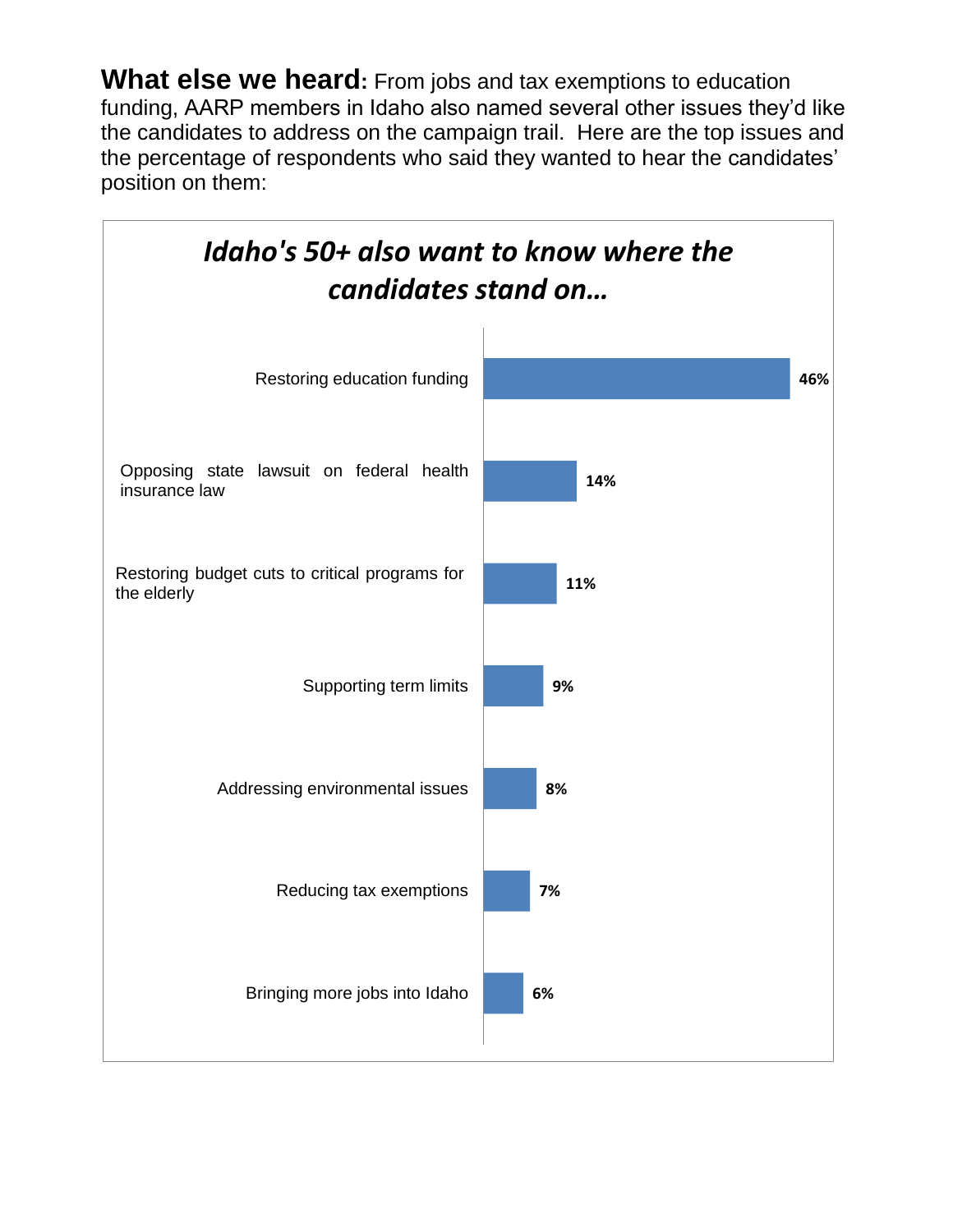**What else we heard:** From jobs and tax exemptions to education funding, AARP members in Idaho also named several other issues they'd like the candidates to address on the campaign trail. Here are the top issues and the percentage of respondents who said they wanted to hear the candidates' position on them:

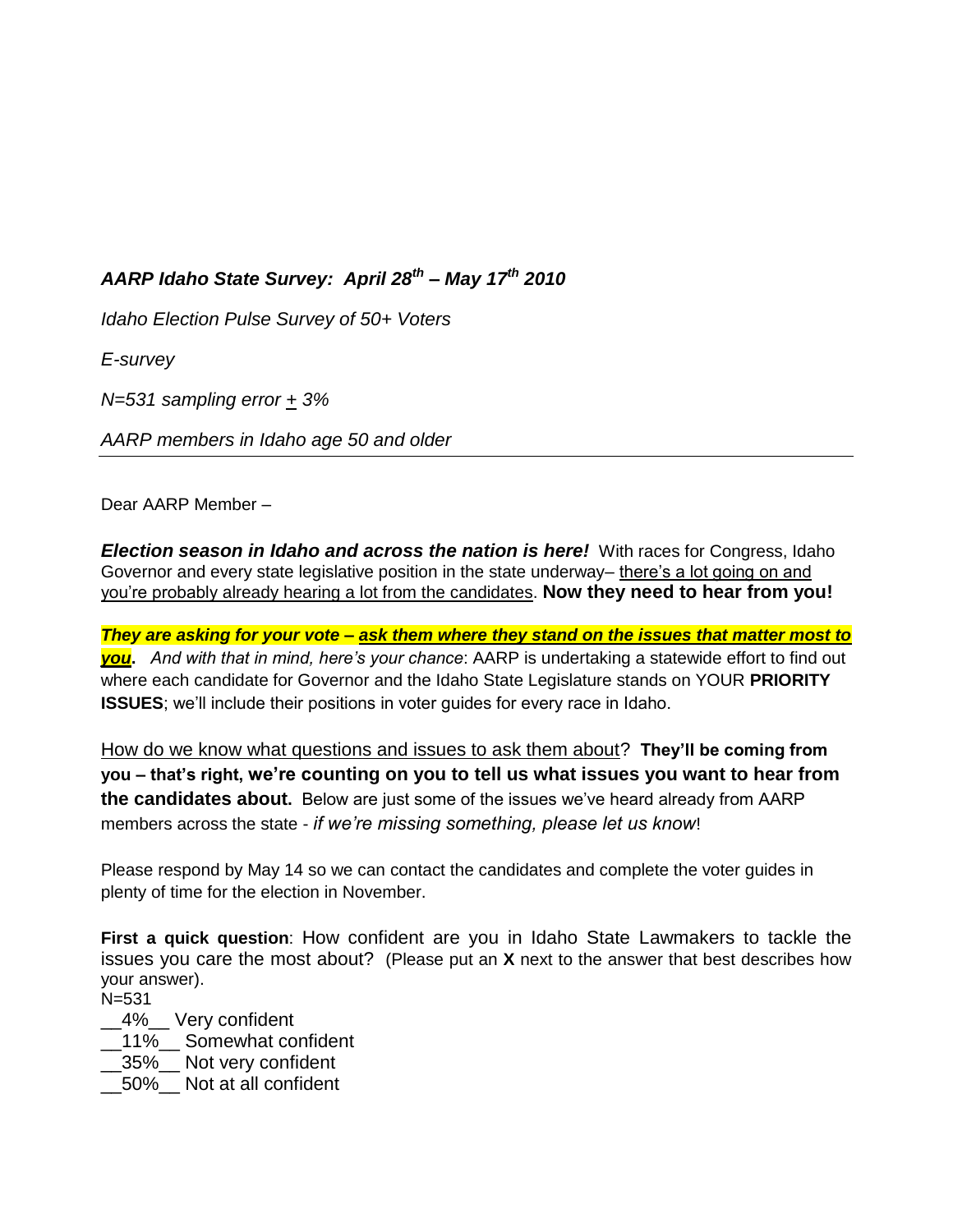#### *AARP Idaho State Survey: April 28th – May 17th 2010*

*Idaho Election Pulse Survey of 50+ Voters*

*E-survey*

*N=531 sampling error + 3%*

*AARP members in Idaho age 50 and older*

Dear AARP Member –

*Election season in Idaho and across the nation is here!* With races for Congress, Idaho Governor and every state legislative position in the state underway– there's a lot going on and you're probably already hearing a lot from the candidates. **Now they need to hear from you!**

*They are asking for your vote – ask them where they stand on the issues that matter most to you***.** *And with that in mind, here's your chance*: AARP is undertaking a statewide effort to find out where each candidate for Governor and the Idaho State Legislature stands on YOUR **PRIORITY ISSUES**; we'll include their positions in voter guides for every race in Idaho.

How do we know what questions and issues to ask them about? **They'll be coming from you – that's right, we're counting on you to tell us what issues you want to hear from the candidates about.** Below are just some of the issues we've heard already from AARP members across the state - *if we're missing something, please let us know*!

Please respond by May 14 so we can contact the candidates and complete the voter guides in plenty of time for the election in November.

**First a quick question**: How confident are you in Idaho State Lawmakers to tackle the issues you care the most about? (Please put an **X** next to the answer that best describes how your answer).

N=531

- \_\_4%\_\_ Very confident
- \_\_11%\_\_ Somewhat confident
- \_\_35%\_\_ Not very confident
- \_\_50%\_\_ Not at all confident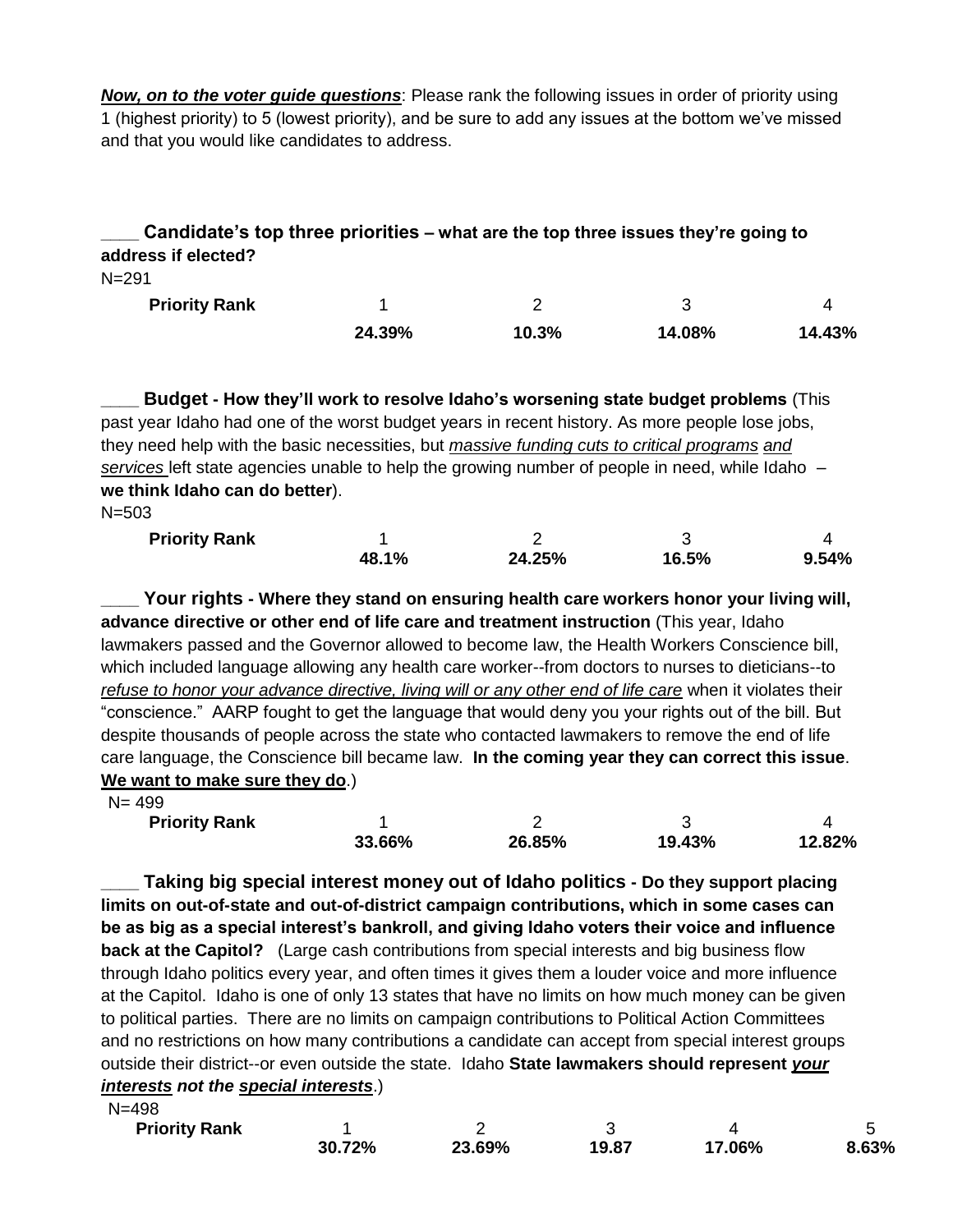*Now, on to the voter guide questions*: Please rank the following issues in order of priority using 1 (highest priority) to 5 (lowest priority), and be sure to add any issues at the bottom we've missed and that you would like candidates to address.

#### **\_\_\_\_ Candidate's top three priorities – what are the top three issues they're going to address if elected?**

N=291

| <b>Priority Rank</b> |        |       |        |        |  |
|----------------------|--------|-------|--------|--------|--|
|                      | 24.39% | 10.3% | 14.08% | 14.43% |  |

**\_\_\_\_ Budget - How they'll work to resolve Idaho's worsening state budget problems** (This past year Idaho had one of the worst budget years in recent history. As more people lose jobs, they need help with the basic necessities, but *massive funding cuts to critical programs and services* left state agencies unable to help the growing number of people in need, while Idaho – **we think Idaho can do better**).

N=503

| <b>Priority Rank</b> |       |        |       |       |  |
|----------------------|-------|--------|-------|-------|--|
|                      | 48.1% | 24.25% | 16.5% | 9.54% |  |

**\_\_\_\_ Your rights - Where they stand on ensuring health care workers honor your living will, advance directive or other end of life care and treatment instruction** (This year, Idaho lawmakers passed and the Governor allowed to become law, the Health Workers Conscience bill, which included language allowing any health care worker--from doctors to nurses to dieticians--to refuse to honor your advance directive, living will or any other end of life care when it violates their "conscience." AARP fought to get the language that would deny you your rights out of the bill. But despite thousands of people across the state who contacted lawmakers to remove the end of life care language, the Conscience bill became law. **In the coming year they can correct this issue**. **We want to make sure they do**.)

N= 499

**Priority Rank** 

| 33.66% | 26.85% | 19.43% | 12.82% |  |
|--------|--------|--------|--------|--|

**\_\_\_\_ Taking big special interest money out of Idaho politics - Do they support placing limits on out-of-state and out-of-district campaign contributions, which in some cases can be as big as a special interest's bankroll, and giving Idaho voters their voice and influence back at the Capitol?** (Large cash contributions from special interests and big business flow through Idaho politics every year, and often times it gives them a louder voice and more influence at the Capitol. Idaho is one of only 13 states that have no limits on how much money can be given to political parties. There are no limits on campaign contributions to Political Action Committees and no restrictions on how many contributions a candidate can accept from special interest groups outside their district--or even outside the state. Idaho **State lawmakers should represent** *your interests not the special interests*.)

| $N = 498$            |        |        |       |        |       |
|----------------------|--------|--------|-------|--------|-------|
| <b>Priority Rank</b> |        |        |       |        |       |
|                      | 30.72% | 23.69% | 19.87 | 17.06% | 8.63% |